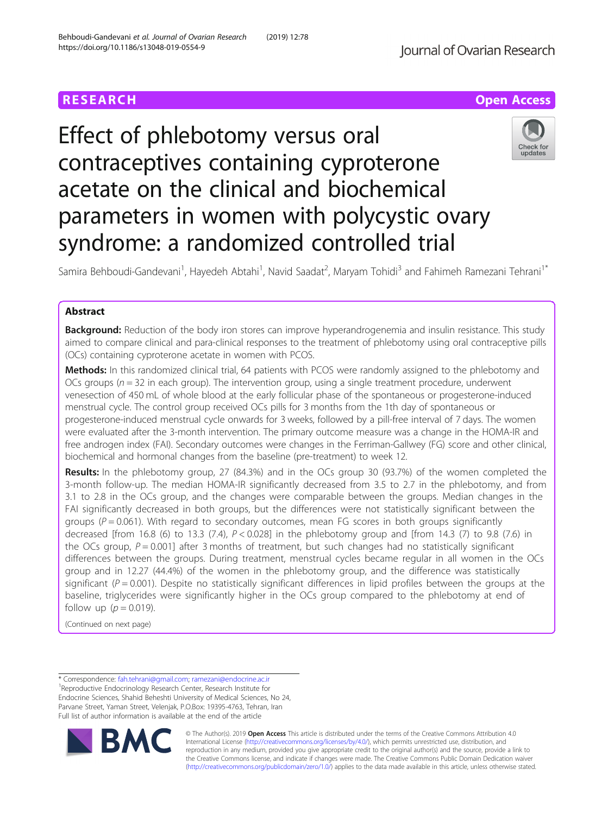# **RESEARCH CHEAR CHEAR CHEAR CHEAR CHEAR CHEAR CHEAR CHEAR CHEAR CHEAR CHEAR CHEAR CHEAR CHEAR CHEAR CHEAR CHEAR**

# Effect of phlebotomy versus oral contraceptives containing cyproterone acetate on the clinical and biochemical parameters in women with polycystic ovary syndrome: a randomized controlled trial



Samira Behboudi-Gandevani<sup>1</sup>, Hayedeh Abtahi<sup>1</sup>, Navid Saadat<sup>2</sup>, Maryam Tohidi<sup>3</sup> and Fahimeh Ramezani Tehrani<sup>1\*</sup>

# Abstract

Background: Reduction of the body iron stores can improve hyperandrogenemia and insulin resistance. This study aimed to compare clinical and para-clinical responses to the treatment of phlebotomy using oral contraceptive pills (OCs) containing cyproterone acetate in women with PCOS.

Methods: In this randomized clinical trial, 64 patients with PCOS were randomly assigned to the phlebotomy and OCs groups ( $n = 32$  in each group). The intervention group, using a single treatment procedure, underwent venesection of 450 mL of whole blood at the early follicular phase of the spontaneous or progesterone-induced menstrual cycle. The control group received OCs pills for 3 months from the 1th day of spontaneous or progesterone-induced menstrual cycle onwards for 3 weeks, followed by a pill-free interval of 7 days. The women were evaluated after the 3-month intervention. The primary outcome measure was a change in the HOMA-IR and free androgen index (FAI). Secondary outcomes were changes in the Ferriman-Gallwey (FG) score and other clinical, biochemical and hormonal changes from the baseline (pre-treatment) to week 12.

Results: In the phlebotomy group, 27 (84.3%) and in the OCs group 30 (93.7%) of the women completed the 3-month follow-up. The median HOMA-IR significantly decreased from 3.5 to 2.7 in the phlebotomy, and from 3.1 to 2.8 in the OCs group, and the changes were comparable between the groups. Median changes in the FAI significantly decreased in both groups, but the differences were not statistically significant between the groups ( $P = 0.061$ ). With regard to secondary outcomes, mean FG scores in both groups significantly decreased [from 16.8 (6) to 13.3 (7.4),  $P < 0.028$ ] in the phlebotomy group and [from 14.3 (7) to 9.8 (7.6) in the OCs group,  $P = 0.001$ ] after 3 months of treatment, but such changes had no statistically significant differences between the groups. During treatment, menstrual cycles became regular in all women in the OCs group and in 12.27 (44.4%) of the women in the phlebotomy group, and the difference was statistically significant ( $P = 0.001$ ). Despite no statistically significant differences in lipid profiles between the groups at the baseline, triglycerides were significantly higher in the OCs group compared to the phlebotomy at end of follow up ( $p = 0.019$ ).

(Continued on next page)

\* Correspondence: [fah.tehrani@gmail.com;](mailto:fah.tehrani@gmail.com) [ramezani@endocrine.ac.ir](mailto:ramezani@endocrine.ac.ir) <sup>1</sup> <sup>1</sup>Reproductive Endocrinology Research Center, Research Institute for Endocrine Sciences, Shahid Beheshti University of Medical Sciences, No 24, Parvane Street, Yaman Street, Velenjak, P.O.Box: 19395-4763, Tehran, Iran Full list of author information is available at the end of the article



© The Author(s). 2019 **Open Access** This article is distributed under the terms of the Creative Commons Attribution 4.0 International License [\(http://creativecommons.org/licenses/by/4.0/](http://creativecommons.org/licenses/by/4.0/)), which permits unrestricted use, distribution, and reproduction in any medium, provided you give appropriate credit to the original author(s) and the source, provide a link to the Creative Commons license, and indicate if changes were made. The Creative Commons Public Domain Dedication waiver [\(http://creativecommons.org/publicdomain/zero/1.0/](http://creativecommons.org/publicdomain/zero/1.0/)) applies to the data made available in this article, unless otherwise stated.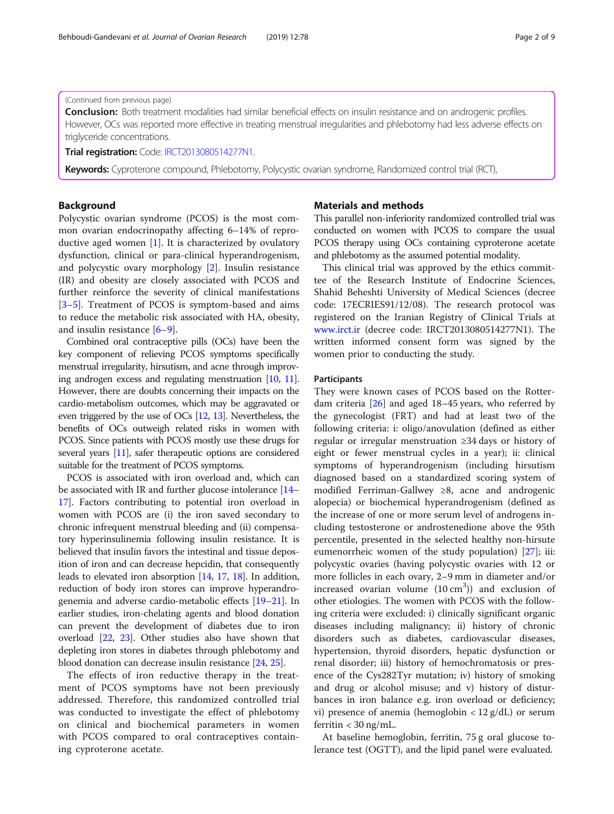#### (Continued from previous page)

**Conclusion:** Both treatment modalities had similar beneficial effects on insulin resistance and on androgenic profiles. However, OCs was reported more effective in treating menstrual irregularities and phlebotomy had less adverse effects on triglyceride concentrations.

Trial registration: Code: [IRCT2013080514277N1.](https://www.irct.ir/trial/13902)

Keywords: Cyproterone compound, Phlebotomy, Polycystic ovarian syndrome, Randomized control trial (RCT),

# Background

Polycystic ovarian syndrome (PCOS) is the most common ovarian endocrinopathy affecting 6–14% of reproductive aged women [\[1](#page-7-0)]. It is characterized by ovulatory dysfunction, clinical or para-clinical hyperandrogenism, and polycystic ovary morphology [\[2](#page-7-0)]. Insulin resistance (IR) and obesity are closely associated with PCOS and further reinforce the severity of clinical manifestations [[3](#page-7-0)–[5\]](#page-7-0). Treatment of PCOS is symptom-based and aims to reduce the metabolic risk associated with HA, obesity, and insulin resistance [\[6](#page-7-0)–[9](#page-7-0)].

Combined oral contraceptive pills (OCs) have been the key component of relieving PCOS symptoms specifically menstrual irregularity, hirsutism, and acne through improving androgen excess and regulating menstruation [\[10](#page-7-0), [11](#page-7-0)]. However, there are doubts concerning their impacts on the cardio-metabolism outcomes, which may be aggravated or even triggered by the use of OCs [\[12,](#page-7-0) [13\]](#page-7-0). Nevertheless, the benefits of OCs outweigh related risks in women with PCOS. Since patients with PCOS mostly use these drugs for several years [\[11](#page-7-0)], safer therapeutic options are considered suitable for the treatment of PCOS symptoms.

PCOS is associated with iron overload and, which can be associated with IR and further glucose intolerance [\[14](#page-7-0)– [17](#page-7-0)]. Factors contributing to potential iron overload in women with PCOS are (i) the iron saved secondary to chronic infrequent menstrual bleeding and (ii) compensatory hyperinsulinemia following insulin resistance. It is believed that insulin favors the intestinal and tissue deposition of iron and can decrease hepcidin, that consequently leads to elevated iron absorption [[14](#page-7-0), [17](#page-7-0), [18](#page-7-0)]. In addition, reduction of body iron stores can improve hyperandrogenemia and adverse cardio-metabolic effects [\[19](#page-7-0)–[21](#page-7-0)]. In earlier studies, iron-chelating agents and blood donation can prevent the development of diabetes due to iron overload [\[22](#page-7-0), [23](#page-7-0)]. Other studies also have shown that depleting iron stores in diabetes through phlebotomy and blood donation can decrease insulin resistance [[24,](#page-7-0) [25\]](#page-7-0).

The effects of iron reductive therapy in the treatment of PCOS symptoms have not been previously addressed. Therefore, this randomized controlled trial was conducted to investigate the effect of phlebotomy on clinical and biochemical parameters in women with PCOS compared to oral contraceptives containing cyproterone acetate.

# Materials and methods

This parallel non-inferiority randomized controlled trial was conducted on women with PCOS to compare the usual PCOS therapy using OCs containing cyproterone acetate and phlebotomy as the assumed potential modality.

This clinical trial was approved by the ethics committee of the Research Institute of Endocrine Sciences, Shahid Beheshti University of Medical Sciences (decree code: 17ECRIES91/12/08). The research protocol was registered on the Iranian Registry of Clinical Trials at [www.irct.ir](http://www.irct.ir) (decree code: IRCT2013080514277N1). The written informed consent form was signed by the women prior to conducting the study.

#### **Participants**

They were known cases of PCOS based on the Rotterdam criteria [\[26](#page-7-0)] and aged 18–45 years, who referred by the gynecologist (FRT) and had at least two of the following criteria: i: oligo/anovulation (defined as either regular or irregular menstruation ≥34 days or history of eight or fewer menstrual cycles in a year); ii: clinical symptoms of hyperandrogenism (including hirsutism diagnosed based on a standardized scoring system of modified Ferriman-Gallwey ≥8, acne and androgenic alopecia) or biochemical hyperandrogenism (defined as the increase of one or more serum level of androgens including testosterone or androstenedione above the 95th percentile, presented in the selected healthy non-hirsute eumenorrheic women of the study population) [\[27](#page-7-0)]; iii: polycystic ovaries (having polycystic ovaries with 12 or more follicles in each ovary, 2–9 mm in diameter and/or increased ovarian volume  $(10 \text{ cm}^3)$  and exclusion of other etiologies. The women with PCOS with the following criteria were excluded: i) clinically significant organic diseases including malignancy; ii) history of chronic disorders such as diabetes, cardiovascular diseases, hypertension, thyroid disorders, hepatic dysfunction or renal disorder; iii) history of hemochromatosis or presence of the Cys282Tyr mutation; iv) history of smoking and drug or alcohol misuse; and v) history of disturbances in iron balance e.g. iron overload or deficiency; vi) presence of anemia (hemoglobin  $\langle 12 \text{ g}/\text{dL} \rangle$  or serum ferritin  $<$  30 ng/mL.

At baseline hemoglobin, ferritin, 75 g oral glucose tolerance test (OGTT), and the lipid panel were evaluated.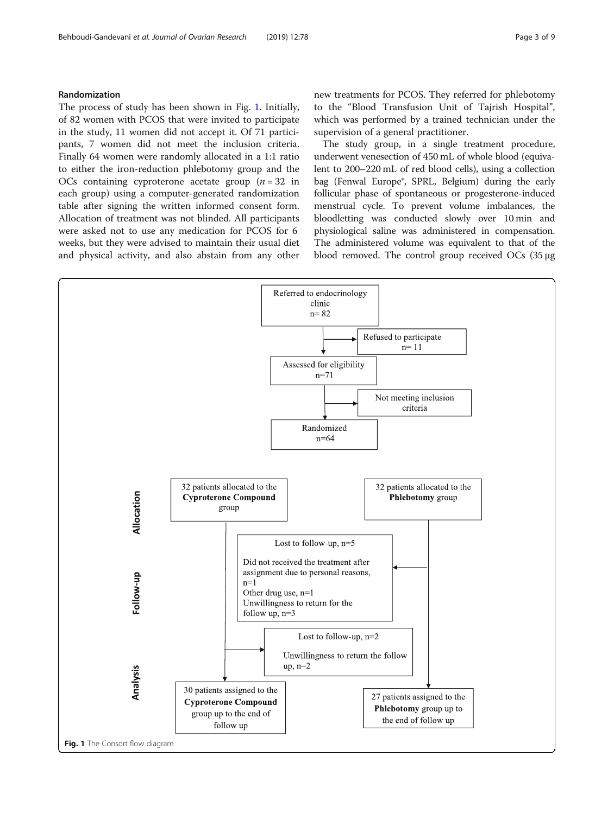# <span id="page-2-0"></span>Randomization

The process of study has been shown in Fig. 1. Initially, of 82 women with PCOS that were invited to participate in the study, 11 women did not accept it. Of 71 participants, 7 women did not meet the inclusion criteria. Finally 64 women were randomly allocated in a 1:1 ratio to either the iron-reduction phlebotomy group and the OCs containing cyproterone acetate group  $(n = 32$  in each group) using a computer-generated randomization table after signing the written informed consent form. Allocation of treatment was not blinded. All participants were asked not to use any medication for PCOS for 6 weeks, but they were advised to maintain their usual diet and physical activity, and also abstain from any other new treatments for PCOS. They referred for phlebotomy to the "Blood Transfusion Unit of Tajrish Hospital", which was performed by a trained technician under the supervision of a general practitioner.

The study group, in a single treatment procedure, underwent venesection of 450 mL of whole blood (equivalent to 200–220 mL of red blood cells), using a collection bag (Fenwal Europe®, SPRL, Belgium) during the early follicular phase of spontaneous or progesterone-induced menstrual cycle. To prevent volume imbalances, the bloodletting was conducted slowly over 10 min and physiological saline was administered in compensation. The administered volume was equivalent to that of the blood removed. The control group received OCs (35 μg

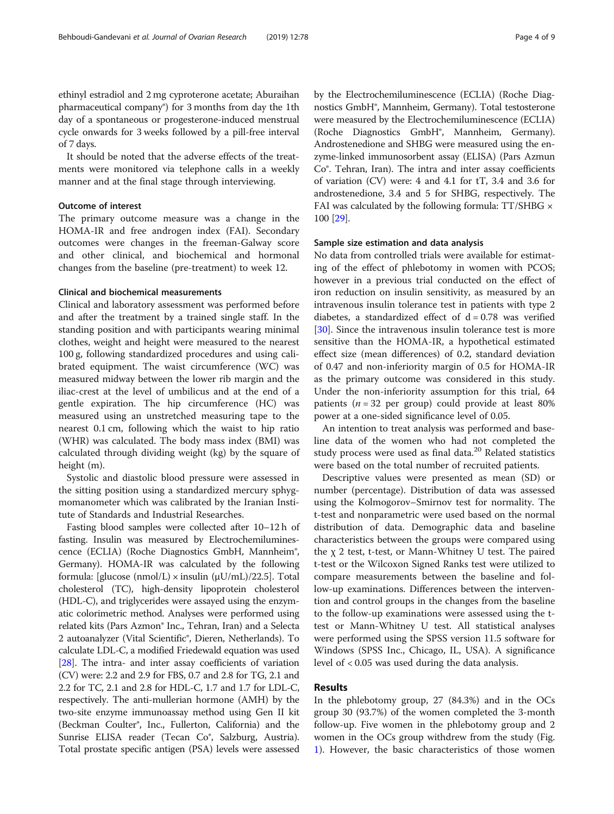ethinyl estradiol and 2 mg cyproterone acetate; Aburaihan pharmaceutical company®) for 3 months from day the 1th day of a spontaneous or progesterone-induced menstrual cycle onwards for 3 weeks followed by a pill-free interval of 7 days.

It should be noted that the adverse effects of the treatments were monitored via telephone calls in a weekly manner and at the final stage through interviewing.

# Outcome of interest

The primary outcome measure was a change in the HOMA-IR and free androgen index (FAI). Secondary outcomes were changes in the freeman-Galway score and other clinical, and biochemical and hormonal changes from the baseline (pre-treatment) to week 12.

#### Clinical and biochemical measurements

Clinical and laboratory assessment was performed before and after the treatment by a trained single staff. In the standing position and with participants wearing minimal clothes, weight and height were measured to the nearest 100 g, following standardized procedures and using calibrated equipment. The waist circumference (WC) was measured midway between the lower rib margin and the iliac-crest at the level of umbilicus and at the end of a gentle expiration. The hip circumference (HC) was measured using an unstretched measuring tape to the nearest 0.1 cm, following which the waist to hip ratio (WHR) was calculated. The body mass index (BMI) was calculated through dividing weight (kg) by the square of height (m).

Systolic and diastolic blood pressure were assessed in the sitting position using a standardized mercury sphygmomanometer which was calibrated by the Iranian Institute of Standards and Industrial Researches.

Fasting blood samples were collected after 10–12 h of fasting. Insulin was measured by Electrochemiluminescence (ECLIA) (Roche Diagnostics GmbH, Mannheim®, Germany). HOMA-IR was calculated by the following formula: [glucose (nmol/L)  $\times$  insulin ( $\mu$ U/mL)/22.5]. Total cholesterol (TC), high-density lipoprotein cholesterol (HDL-C), and triglycerides were assayed using the enzymatic colorimetric method. Analyses were performed using related kits (Pars Azmon® Inc., Tehran, Iran) and a Selecta 2 autoanalyzer (Vital Scientific®, Dieren, Netherlands). To calculate LDL-C, a modified Friedewald equation was used [[28](#page-7-0)]. The intra- and inter assay coefficients of variation (CV) were: 2.2 and 2.9 for FBS, 0.7 and 2.8 for TG, 2.1 and 2.2 for TC, 2.1 and 2.8 for HDL-C, 1.7 and 1.7 for LDL-C, respectively. The anti-mullerian hormone (AMH) by the two-site enzyme immunoassay method using Gen II kit (Beckman Coulter®, Inc., Fullerton, California) and the Sunrise ELISA reader (Tecan Co®, Salzburg, Austria). Total prostate specific antigen (PSA) levels were assessed

by the Electrochemiluminescence (ECLIA) (Roche Diagnostics GmbH®, Mannheim, Germany). Total testosterone were measured by the Electrochemiluminescence (ECLIA) (Roche Diagnostics GmbH®, Mannheim, Germany). Androstenedione and SHBG were measured using the enzyme-linked immunosorbent assay (ELISA) (Pars Azmun Co®. Tehran, Iran). The intra and inter assay coefficients of variation (CV) were: 4 and 4.1 for tT, 3.4 and 3.6 for androstenedione, 3.4 and 5 for SHBG, respectively. The FAI was calculated by the following formula: TT/SHBG  $\times$ 100 [[29\]](#page-7-0).

#### Sample size estimation and data analysis

No data from controlled trials were available for estimating of the effect of phlebotomy in women with PCOS; however in a previous trial conducted on the effect of iron reduction on insulin sensitivity, as measured by an intravenous insulin tolerance test in patients with type 2 diabetes, a standardized effect of  $d = 0.78$  was verified [[30\]](#page-7-0). Since the intravenous insulin tolerance test is more sensitive than the HOMA-IR, a hypothetical estimated effect size (mean differences) of 0.2, standard deviation of 0.47 and non-inferiority margin of 0.5 for HOMA-IR as the primary outcome was considered in this study. Under the non-inferiority assumption for this trial, 64 patients ( $n = 32$  per group) could provide at least 80% power at a one-sided significance level of 0.05.

An intention to treat analysis was performed and baseline data of the women who had not completed the study process were used as final data.<sup>20</sup> Related statistics were based on the total number of recruited patients.

Descriptive values were presented as mean (SD) or number (percentage). Distribution of data was assessed using the Kolmogorov–Smirnov test for normality. The t-test and nonparametric were used based on the normal distribution of data. Demographic data and baseline characteristics between the groups were compared using the χ 2 test, t-test, or Mann-Whitney U test. The paired t-test or the Wilcoxon Signed Ranks test were utilized to compare measurements between the baseline and follow-up examinations. Differences between the intervention and control groups in the changes from the baseline to the follow-up examinations were assessed using the ttest or Mann-Whitney U test. All statistical analyses were performed using the SPSS version 11.5 software for Windows (SPSS Inc., Chicago, IL, USA). A significance level of < 0.05 was used during the data analysis.

## Results

In the phlebotomy group, 27 (84.3%) and in the OCs group 30 (93.7%) of the women completed the 3-month follow-up. Five women in the phlebotomy group and 2 women in the OCs group withdrew from the study (Fig. [1\)](#page-2-0). However, the basic characteristics of those women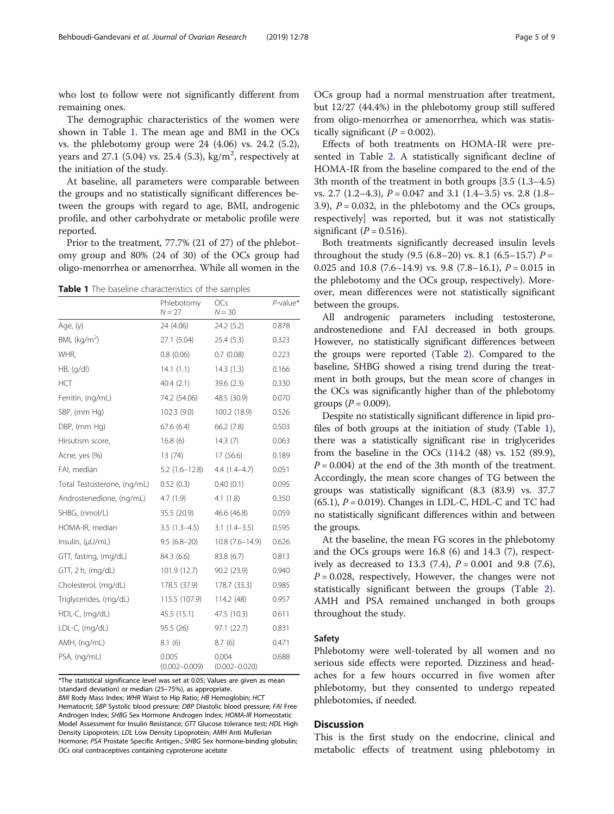who lost to follow were not significantly different from remaining ones.

The demographic characteristics of the women were shown in Table 1. The mean age and BMI in the OCs vs. the phlebotomy group were 24 (4.06) vs. 24.2 (5.2), years and 27.1 (5.04) vs. 25.4 (5.3), kg/m<sup>2</sup>, respectively at the initiation of the study.

At baseline, all parameters were comparable between the groups and no statistically significant differences between the groups with regard to age, BMI, androgenic profile, and other carbohydrate or metabolic profile were reported.

Prior to the treatment, 77.7% (21 of 27) of the phlebotomy group and 80% (24 of 30) of the OCs group had oligo-menorrhea or amenorrhea. While all women in the

Table 1 The baseline characteristics of the samples

|                             | Phlebotomy<br>$N = 27$     | OCs<br>$N = 30$            | P-value* |  |
|-----------------------------|----------------------------|----------------------------|----------|--|
| Age, (y)                    | 24 (4.06)                  | 24.2(5.2)                  | 0.878    |  |
| BMI, $(kq/m2)$              | 27.1 (5.04)                | 25.4(5.3)                  | 0.323    |  |
| WHR,                        | 0.8(0.06)                  | 0.7(0.08)                  | 0.223    |  |
| HB, (q/dl)                  | 14.1(1.1)                  | 14.3(1.3)                  | 0.166    |  |
| HCT                         | 40.4(2.1)                  | 39.6(2.3)                  | 0.330    |  |
| Ferritin, (ng/mL)           | 74.2 (54.06)               | 48.5 (30.9)                | 0.070    |  |
| SBP, (mm Hg)                | 102.3(9.0)                 | 100.2 (18.9)               | 0.526    |  |
| DBP, (mm Hg)                | 67.6(6.4)                  | 66.2(7.8)                  | 0.503    |  |
| Hirsutism score,            | 16.8(6)                    | 14.3(7)                    | 0.063    |  |
| Acne, yes (%)               | 13(74)                     | 17(56.6)                   | 0.189    |  |
| FAI, median                 | $5.2(1.6-12.8)$            | $4.4(1.4-4.7)$             | 0.051    |  |
| Total Testosterone, (ng/mL) | 0.52(0.3)                  | 0.40(0.1)                  | 0.095    |  |
| Androstenedione, (ng/mL)    | 4.7(1.9)                   | 4.1(1.8)                   | 0.350    |  |
| SHBG, (nmol/L)              | 35.5 (20.9)                | 46.6 (46.8)                | 0.059    |  |
| HOMA-IR, median             | $3.5(1.3-4.5)$             | $3.1(1.4-3.5)$             | 0.595    |  |
| Insulin, (µU/mL)            | $9.5(6.8-20)$              | $10.8(7.6 - 14.9)$         | 0.626    |  |
| GTT, fasting, (mg/dL)       | 84.3 (6.6)                 | 83.8 (6.7)                 | 0.813    |  |
| $GTT$ , 2 h, (mg/dL)        | 101.9(12.7)                | 90.2 (23.9)                | 0.940    |  |
| Cholesterol, (mg/dL)        | 178.5 (37.9)               | 178.7 (33.3)               | 0.985    |  |
| Triglycerides, (mg/dL)      | 115.5 (107.9)              | 114.2 (48)                 | 0.957    |  |
| HDL-C, (mg/dL)              | 45.5 (15.1)                | 47.5 (10.3)                | 0.611    |  |
| LDL-C, (mg/dL)              | 95.5 (26)                  | 97.1 (22.7)                | 0.831    |  |
| AMH, (ng/mL)                | 8.1(6)                     | 8.7(6)                     | 0.471    |  |
| PSA, (ng/mL)                | 0.005<br>$(0.002 - 0.009)$ | 0.004<br>$(0.002 - 0.020)$ | 0.688    |  |

\*The statistical significance level was set at 0.05; Values are given as mean (standard deviation) or median (25–75%), as appropriate.

BMI Body Mass Index; WHR Waist to Hip Ratio; HB Hemoglobin; HCT Hematocrit; SBP Systolic blood pressure; DBP Diastolic blood pressure; FAI Free Androgen Index; SHBG Sex Hormone Androgen Index; HOMA-IR Homeostatic Model Assessment for Insulin Resistance; GTT Glucose tolerance test; HDL High Density Lipoprotein; LDL Low Density Lipoprotein; AMH Anti Mullerian Hormone; PSA Prostate Specific Antigen.; SHBG Sex hormone-binding globulin; OCs oral contraceptives containing cyproterone acetate

OCs group had a normal menstruation after treatment, but 12/27 (44.4%) in the phlebotomy group still suffered from oligo-menorrhea or amenorrhea, which was statistically significant  $(P = 0.002)$ .

Effects of both treatments on HOMA-IR were presented in Table [2.](#page-5-0) A statistically significant decline of HOMA-IR from the baseline compared to the end of the 3th month of the treatment in both groups [3.5 (1.3–4.5) vs. 2.7  $(1.2-4.3)$ ,  $P = 0.047$  and 3.1  $(1.4-3.5)$  vs. 2.8  $(1.8-$ 3.9),  $P = 0.032$ , in the phlebotomy and the OCs groups, respectively] was reported, but it was not statistically significant ( $P = 0.516$ ).

Both treatments significantly decreased insulin levels throughout the study  $(9.5 (6.8-20)$  vs. 8.1  $(6.5-15.7)$   $P =$ 0.025 and 10.8 (7.6–14.9) vs. 9.8 (7.8–16.1),  $P = 0.015$  in the phlebotomy and the OCs group, respectively). Moreover, mean differences were not statistically significant between the groups.

All androgenic parameters including testosterone, androstenedione and FAI decreased in both groups. However, no statistically significant differences between the groups were reported (Table [2\)](#page-5-0). Compared to the baseline, SHBG showed a rising trend during the treatment in both groups, but the mean score of changes in the OCs was significantly higher than of the phlebotomy groups ( $P = 0.009$ ).

Despite no statistically significant difference in lipid profiles of both groups at the initiation of study (Table 1), there was a statistically significant rise in triglycerides from the baseline in the OCs (114.2 (48) vs. 152 (89.9),  $P = 0.004$ ) at the end of the 3th month of the treatment. Accordingly, the mean score changes of TG between the groups was statistically significant (8.3 (83.9) vs. 37.7  $(65.1)$ ,  $P = 0.019$ ). Changes in LDL-C, HDL-C and TC had no statistically significant differences within and between the groups.

At the baseline, the mean FG scores in the phlebotomy and the OCs groups were 16.8 (6) and 14.3 (7), respectively as decreased to 13.3 (7.4),  $P = 0.001$  and 9.8 (7.6),  $P = 0.028$ , respectively, However, the changes were not statistically significant between the groups (Table [2](#page-5-0)). AMH and PSA remained unchanged in both groups throughout the study.

## Safety

Phlebotomy were well-tolerated by all women and no serious side effects were reported. Dizziness and headaches for a few hours occurred in five women after phlebotomy, but they consented to undergo repeated phlebotomies, if needed.

# **Discussion**

This is the first study on the endocrine, clinical and metabolic effects of treatment using phlebotomy in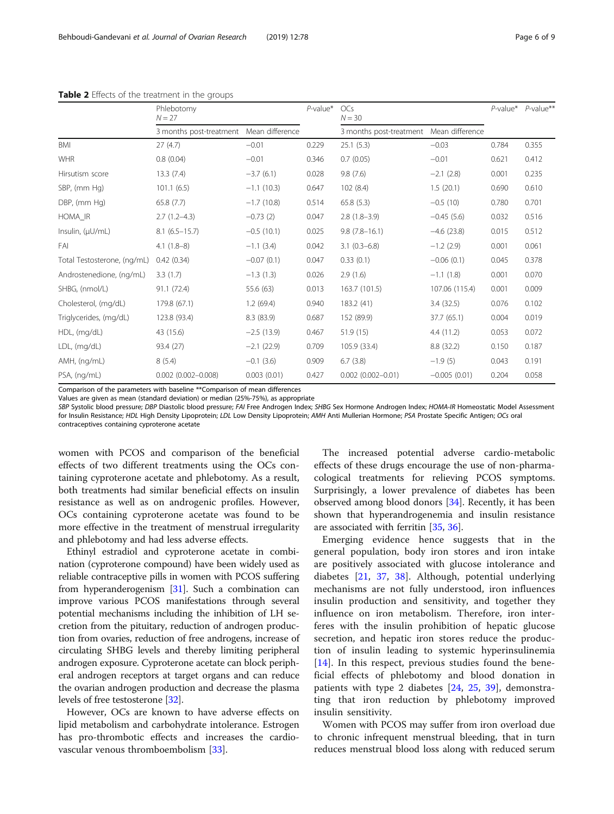|                             | Phlebotomy<br>$N = 27$                  |              | $P$ -value* | OCs<br>$N = 30$         |                 | $P$ -value* | $P$ -value** |
|-----------------------------|-----------------------------------------|--------------|-------------|-------------------------|-----------------|-------------|--------------|
|                             | 3 months post-treatment Mean difference |              |             | 3 months post-treatment | Mean difference |             |              |
| <b>BMI</b>                  | 27(4.7)                                 | $-0.01$      | 0.229       | 25.1(5.3)               | $-0.03$         | 0.784       | 0.355        |
| <b>WHR</b>                  | 0.8(0.04)                               | $-0.01$      | 0.346       | 0.7(0.05)               | $-0.01$         | 0.621       | 0.412        |
| Hirsutism score             | 13.3(7.4)                               | $-3.7(6.1)$  | 0.028       | 9.8(7.6)                | $-2.1$ (2.8)    | 0.001       | 0.235        |
| SBP, (mm Hg)                | 101.1(6.5)                              | $-1.1(10.3)$ | 0.647       | 102(8.4)                | 1.5(20.1)       | 0.690       | 0.610        |
| DBP, (mm Hg)                | 65.8(7.7)                               | $-1.7(10.8)$ | 0.514       | 65.8(5.3)               | $-0.5(10)$      | 0.780       | 0.701        |
| HOMA_IR                     | $2.7(1.2-4.3)$                          | $-0.73(2)$   | 0.047       | $2.8(1.8-3.9)$          | $-0.45(5.6)$    | 0.032       | 0.516        |
| Insulin, (µU/mL)            | $8.1 (6.5 - 15.7)$                      | $-0.5(10.1)$ | 0.025       | $9.8(7.8 - 16.1)$       | $-4.6$ (23.8)   | 0.015       | 0.512        |
| FAI                         | $4.1(1.8-8)$                            | $-1.1$ (3.4) | 0.042       | $3.1(0.3-6.8)$          | $-1.2$ (2.9)    | 0.001       | 0.061        |
| Total Testosterone, (ng/mL) | 0.42(0.34)                              | $-0.07(0.1)$ | 0.047       | 0.33(0.1)               | $-0.06(0.1)$    | 0.045       | 0.378        |
| Androstenedione, (ng/mL)    | 3.3(1.7)                                | $-1.3(1.3)$  | 0.026       | 2.9(1.6)                | $-1.1(1.8)$     | 0.001       | 0.070        |
| SHBG, (nmol/L)              | 91.1 (72.4)                             | 55.6 (63)    | 0.013       | 163.7 (101.5)           | 107.06 (115.4)  | 0.001       | 0.009        |
| Cholesterol, (mg/dL)        | 179.8 (67.1)                            | 1.2(69.4)    | 0.940       | 183.2 (41)              | 3.4(32.5)       | 0.076       | 0.102        |
| Triglycerides, (mg/dL)      | 123.8 (93.4)                            | 8.3 (83.9)   | 0.687       | 152 (89.9)              | 37.7 (65.1)     | 0.004       | 0.019        |
| HDL, (mg/dL)                | 43 (15.6)                               | $-2.5(13.9)$ | 0.467       | 51.9(15)                | 4.4(11.2)       | 0.053       | 0.072        |
| LDL, (mg/dL)                | 93.4 (27)                               | $-2.1(22.9)$ | 0.709       | 105.9 (33.4)            | 8.8 (32.2)      | 0.150       | 0.187        |
| AMH, (ng/mL)                | 8(5.4)                                  | $-0.1$ (3.6) | 0.909       | 6.7(3.8)                | $-1.9(5)$       | 0.043       | 0.191        |
| PSA, (ng/mL)                | $0.002$ $(0.002 - 0.008)$               | 0.003(0.01)  | 0.427       | $0.002$ (0.002-0.01)    | $-0.005(0.01)$  | 0.204       | 0.058        |

<span id="page-5-0"></span>Table 2 Effects of the treatment in the groups

Comparison of the parameters with baseline \*\*Comparison of mean differences

Values are given as mean (standard deviation) or median (25%-75%), as appropriate

SBP Systolic blood pressure; DBP Diastolic blood pressure; FAI Free Androgen Index; SHBG Sex Hormone Androgen Index; HOMA-IR Homeostatic Model Assessment for Insulin Resistance; HDL High Density Lipoprotein; LDL Low Density Lipoprotein; AMH Anti Mullerian Hormone; PSA Prostate Specific Antigen; OCs oral contraceptives containing cyproterone acetate

women with PCOS and comparison of the beneficial effects of two different treatments using the OCs containing cyproterone acetate and phlebotomy. As a result, both treatments had similar beneficial effects on insulin resistance as well as on androgenic profiles. However, OCs containing cyproterone acetate was found to be more effective in the treatment of menstrual irregularity and phlebotomy and had less adverse effects.

Ethinyl estradiol and cyproterone acetate in combination (cyproterone compound) have been widely used as reliable contraceptive pills in women with PCOS suffering from hyperanderogenism [[31](#page-7-0)]. Such a combination can improve various PCOS manifestations through several potential mechanisms including the inhibition of LH secretion from the pituitary, reduction of androgen production from ovaries, reduction of free androgens, increase of circulating SHBG levels and thereby limiting peripheral androgen exposure. Cyproterone acetate can block peripheral androgen receptors at target organs and can reduce the ovarian androgen production and decrease the plasma levels of free testosterone [\[32\]](#page-7-0).

However, OCs are known to have adverse effects on lipid metabolism and carbohydrate intolerance. Estrogen has pro-thrombotic effects and increases the cardiovascular venous thromboembolism [[33\]](#page-7-0).

The increased potential adverse cardio-metabolic effects of these drugs encourage the use of non-pharmacological treatments for relieving PCOS symptoms. Surprisingly, a lower prevalence of diabetes has been observed among blood donors [[34](#page-7-0)]. Recently, it has been shown that hyperandrogenemia and insulin resistance are associated with ferritin [[35](#page-7-0), [36](#page-7-0)].

Emerging evidence hence suggests that in the general population, body iron stores and iron intake are positively associated with glucose intolerance and diabetes [\[21](#page-7-0), [37](#page-7-0), [38](#page-7-0)]. Although, potential underlying mechanisms are not fully understood, iron influences insulin production and sensitivity, and together they influence on iron metabolism. Therefore, iron interferes with the insulin prohibition of hepatic glucose secretion, and hepatic iron stores reduce the production of insulin leading to systemic hyperinsulinemia [[14\]](#page-7-0). In this respect, previous studies found the beneficial effects of phlebotomy and blood donation in patients with type 2 diabetes [[24,](#page-7-0) [25](#page-7-0), [39\]](#page-7-0), demonstrating that iron reduction by phlebotomy improved insulin sensitivity.

Women with PCOS may suffer from iron overload due to chronic infrequent menstrual bleeding, that in turn reduces menstrual blood loss along with reduced serum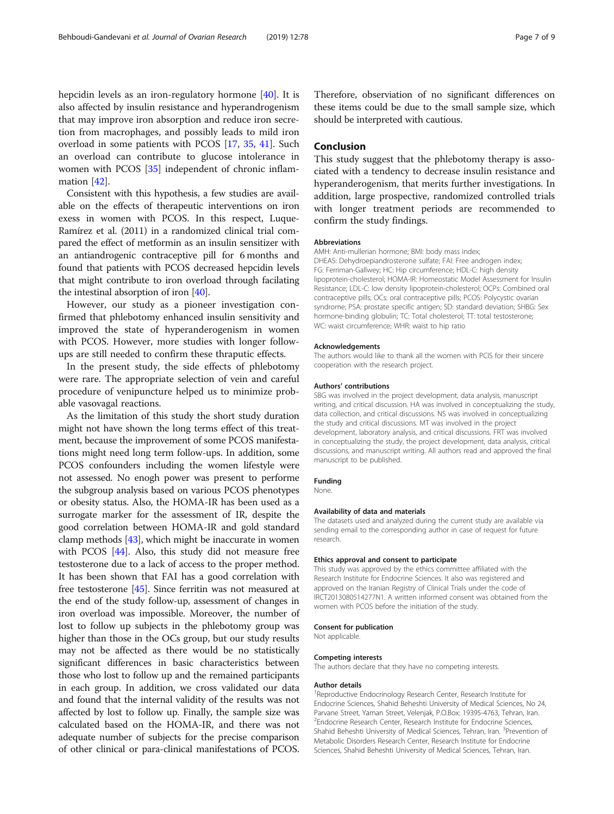hepcidin levels as an iron-regulatory hormone [[40](#page-7-0)]. It is also affected by insulin resistance and hyperandrogenism that may improve iron absorption and reduce iron secretion from macrophages, and possibly leads to mild iron overload in some patients with PCOS [[17,](#page-7-0) [35](#page-7-0), [41\]](#page-7-0). Such an overload can contribute to glucose intolerance in women with PCOS [[35](#page-7-0)] independent of chronic inflammation [[42](#page-7-0)].

Consistent with this hypothesis, a few studies are available on the effects of therapeutic interventions on iron exess in women with PCOS. In this respect, Luque-Ramírez et al. (2011) in a randomized clinical trial compared the effect of metformin as an insulin sensitizer with an antiandrogenic contraceptive pill for 6 months and found that patients with PCOS decreased hepcidin levels that might contribute to iron overload through facilating the intestinal absorption of iron [\[40\]](#page-7-0).

However, our study as a pioneer investigation confirmed that phlebotomy enhanced insulin sensitivity and improved the state of hyperanderogenism in women with PCOS. However, more studies with longer followups are still needed to confirm these thraputic effects.

In the present study, the side effects of phlebotomy were rare. The appropriate selection of vein and careful procedure of venipuncture helped us to minimize probable vasovagal reactions.

As the limitation of this study the short study duration might not have shown the long terms effect of this treatment, because the improvement of some PCOS manifestations might need long term follow-ups. In addition, some PCOS confounders including the women lifestyle were not assessed. No enogh power was present to performe the subgroup analysis based on various PCOS phenotypes or obesity status. Also, the HOMA-IR has been used as a surrogate marker for the assessment of IR, despite the good correlation between HOMA-IR and gold standard clamp methods [\[43\]](#page-7-0), which might be inaccurate in women with PCOS [\[44](#page-8-0)]. Also, this study did not measure free testosterone due to a lack of access to the proper method. It has been shown that FAI has a good correlation with free testosterone [[45](#page-8-0)]. Since ferritin was not measured at the end of the study follow-up, assessment of changes in iron overload was impossible. Moreover, the number of lost to follow up subjects in the phlebotomy group was higher than those in the OCs group, but our study results may not be affected as there would be no statistically significant differences in basic characteristics between those who lost to follow up and the remained participants in each group. In addition, we cross validated our data and found that the internal validity of the results was not affected by lost to follow up. Finally, the sample size was calculated based on the HOMA-IR, and there was not adequate number of subjects for the precise comparison of other clinical or para-clinical manifestations of PCOS.

Therefore, observiation of no significant differences on these items could be due to the small sample size, which should be interpreted with cautious.

# Conclusion

This study suggest that the phlebotomy therapy is associated with a tendency to decrease insulin resistance and hyperanderogenism, that merits further investigations. In addition, large prospective, randomized controlled trials with longer treatment periods are recommended to confirm the study findings.

#### Abbreviations

AMH: Anti-mullerian hormone; BMI: body mass index;

DHEAS: Dehydroepiandrosterone sulfate; FAI: Free androgen index; FG: Ferriman-Gallwey; HC: Hip circumference; HDL-C: high density lipoprotein-cholesterol; HOMA-IR: Homeostatic Model Assessment for Insulin Resistance; LDL-C: low density lipoprotein-cholesterol; OCPs: Combined oral contraceptive pills; OCs: oral contraceptive pills; PCOS: Polycystic ovarian syndrome; PSA: prostate specific antigen; SD: standard deviation; SHBG: Sex hormone-binding globulin; TC: Total cholesterol; TT: total testosterone; WC: waist circumference; WHR: waist to hip ratio

#### Acknowledgements

The authors would like to thank all the women with PCIS for their sincere cooperation with the research project.

#### Authors' contributions

SBG was involved in the project development, data analysis, manuscript writing, and critical discussion. HA was involved in conceptualizing the study, data collection, and critical discussions. NS was involved in conceptualizing the study and critical discussions. MT was involved in the project development, laboratory analysis, and critical discussions. FRT was involved in conceptualizing the study, the project development, data analysis, critical discussions, and manuscript writing. All authors read and approved the final manuscript to be published.

#### Funding

None.

#### Availability of data and materials

The datasets used and analyzed during the current study are available via sending email to the corresponding author in case of request for future research.

#### Ethics approval and consent to participate

This study was approved by the ethics committee affiliated with the Research Institute for Endocrine Sciences. It also was registered and approved on the Iranian Registry of Clinical Trials under the code of IRCT2013080514277N1. A written informed consent was obtained from the women with PCOS before the initiation of the study.

#### Consent for publication

Not applicable.

#### Competing interests

The authors declare that they have no competing interests.

#### Author details

<sup>1</sup> Reproductive Endocrinology Research Center, Research Institute for Endocrine Sciences, Shahid Beheshti University of Medical Sciences, No 24, Parvane Street, Yaman Street, Velenjak, P.O.Box: 19395-4763, Tehran, Iran. <sup>2</sup> Endocrine Research Center, Research Institute for Endocrine Sciences, Shahid Beheshti University of Medical Sciences, Tehran, Iran. <sup>3</sup>Prevention of Metabolic Disorders Research Center, Research Institute for Endocrine Sciences, Shahid Beheshti University of Medical Sciences, Tehran, Iran.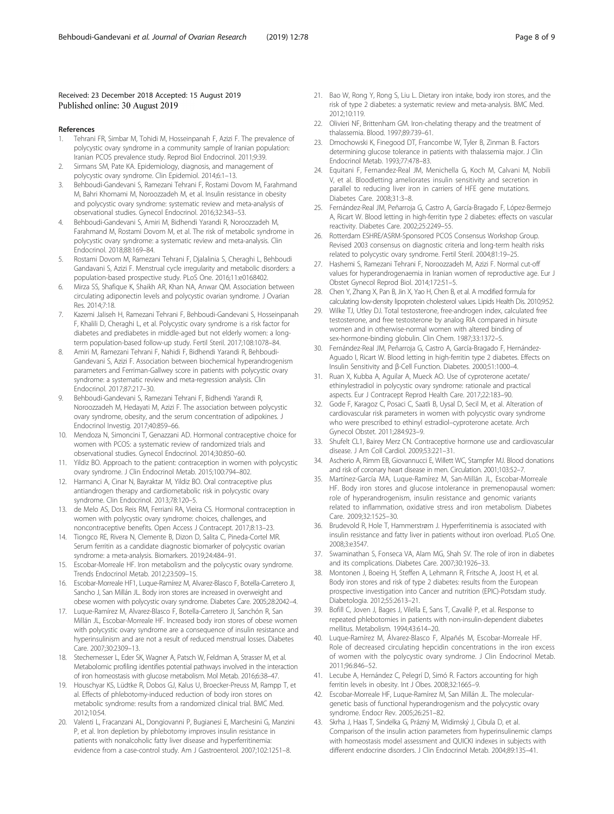#### <span id="page-7-0"></span>Received: 23 December 2018 Accepted: 15 August 2019 Published online: 30 August 2019

#### References

- 1. Tehrani FR, Simbar M, Tohidi M, Hosseinpanah F, Azizi F. The prevalence of polycystic ovary syndrome in a community sample of Iranian population: Iranian PCOS prevalence study. Reprod Biol Endocrinol. 2011;9:39.
- 2. Sirmans SM, Pate KA. Epidemiology, diagnosis, and management of polycystic ovary syndrome. Clin Epidemiol. 2014;6:1–13.
- 3. Behboudi-Gandevani S, Ramezani Tehrani F, Rostami Dovom M, Farahmand M, Bahri Khomami M, Noroozzadeh M, et al. Insulin resistance in obesity and polycystic ovary syndrome: systematic review and meta-analysis of observational studies. Gynecol Endocrinol. 2016;32:343–53.
- 4. Behboudi-Gandevani S, Amiri M, Bidhendi Yarandi R, Noroozzadeh M, Farahmand M, Rostami Dovom M, et al. The risk of metabolic syndrome in polycystic ovary syndrome: a systematic review and meta-analysis. Clin Endocrinol. 2018;88:169–84.
- 5. Rostami Dovom M, Ramezani Tehrani F, Djalalinia S, Cheraghi L, Behboudi Gandavani S, Azizi F. Menstrual cycle irregularity and metabolic disorders: a population-based prospective study. PLoS One. 2016;11:e0168402.
- Mirza SS, Shafique K, Shaikh AR, Khan NA, Anwar QM. Association between circulating adiponectin levels and polycystic ovarian syndrome. J Ovarian Res. 2014;7:18.
- 7. Kazemi Jaliseh H, Ramezani Tehrani F, Behboudi-Gandevani S, Hosseinpanah F, Khalili D, Cheraghi L, et al. Polycystic ovary syndrome is a risk factor for diabetes and prediabetes in middle-aged but not elderly women: a longterm population-based follow-up study. Fertil Steril. 2017;108:1078–84.
- 8. Amiri M, Ramezani Tehrani F, Nahidi F, Bidhendi Yarandi R, Behboudi-Gandevani S, Azizi F. Association between biochemical hyperandrogenism parameters and Ferriman-Gallwey score in patients with polycystic ovary syndrome: a systematic review and meta-regression analysis. Clin Endocrinol. 2017;87:217–30.
- 9. Behboudi-Gandevani S, Ramezani Tehrani F, Bidhendi Yarandi R, Noroozzadeh M, Hedayati M, Azizi F. The association between polycystic ovary syndrome, obesity, and the serum concentration of adipokines. J Endocrinol Investig. 2017;40:859–66.
- 10. Mendoza N, Simoncini T, Genazzani AD. Hormonal contraceptive choice for women with PCOS: a systematic review of randomized trials and observational studies. Gynecol Endocrinol. 2014;30:850–60.
- 11. Yildiz BO. Approach to the patient: contraception in women with polycystic ovary syndrome. J Clin Endocrinol Metab. 2015;100:794–802.
- 12. Harmanci A, Cinar N, Bayraktar M, Yildiz BO. Oral contraceptive plus antiandrogen therapy and cardiometabolic risk in polycystic ovary syndrome. Clin Endocrinol. 2013;78:120–5.
- 13. de Melo AS, Dos Reis RM, Ferriani RA, Vieira CS. Hormonal contraception in women with polycystic ovary syndrome: choices, challenges, and noncontraceptive benefits. Open Access J Contracept. 2017;8:13–23.
- 14. Tiongco RE, Rivera N, Clemente B, Dizon D, Salita C, Pineda-Cortel MR. Serum ferritin as a candidate diagnostic biomarker of polycystic ovarian syndrome: a meta-analysis. Biomarkers. 2019;24:484–91.
- 15. Escobar-Morreale HF. Iron metabolism and the polycystic ovary syndrome. Trends Endocrinol Metab. 2012;23:509–15.
- 16. Escobar-Morreale HF1, Luque-Ramírez M, Alvarez-Blasco F, Botella-Carretero JI, Sancho J, San Millán JL. Body iron stores are increased in overweight and obese women with polycystic ovary syndrome. Diabetes Care. 2005;28:2042–4.
- 17. Luque-Ramírez M, Alvarez-Blasco F, Botella-Carretero JI, Sanchón R, San Millán JL, Escobar-Morreale HF. Increased body iron stores of obese women with polycystic ovary syndrome are a consequence of insulin resistance and hyperinsulinism and are not a result of reduced menstrual losses. Diabetes Care. 2007;30:2309–13.
- 18. Stechemesser L, Eder SK, Wagner A, Patsch W, Feldman A, Strasser M, et al. Metabolomic profiling identifies potential pathways involved in the interaction of iron homeostasis with glucose metabolism. Mol Metab. 2016;6:38–47.
- 19. Houschyar KS, Lüdtke R, Dobos GJ, Kalus U, Broecker-Preuss M, Rampp T, et al. Effects of phlebotomy-induced reduction of body iron stores on metabolic syndrome: results from a randomized clinical trial. BMC Med. 2012;10:54.
- 20. Valenti L, Fracanzani AL, Dongiovanni P, Bugianesi E, Marchesini G, Manzini P, et al. Iron depletion by phlebotomy improves insulin resistance in patients with nonalcoholic fatty liver disease and hyperferritinemia: evidence from a case-control study. Am J Gastroenterol. 2007;102:1251–8.
- 21. Bao W, Rong Y, Rong S, Liu L. Dietary iron intake, body iron stores, and the risk of type 2 diabetes: a systematic review and meta-analysis. BMC Med. 2012;10:119.
- 22. Olivieri NF, Brittenham GM. Iron-chelating therapy and the treatment of thalassemia. Blood. 1997;89:739–61.
- 23. Dmochowski K, Finegood DT, Francombe W, Tyler B, Zinman B. Factors determining glucose tolerance in patients with thalassemia major. J Clin Endocrinol Metab. 1993;77:478–83.
- 24. Equitani F, Fernandez-Real JM, Menichella G, Koch M, Calvani M, Nobili V, et al. Bloodletting ameliorates insulin sensitivity and secretion in parallel to reducing liver iron in carriers of HFE gene mutations. Diabetes Care. 2008;31:3–8.
- 25. Fernández-Real JM, Peñarroja G, Castro A, García-Bragado F, López-Bermejo A, Ricart W. Blood letting in high-ferritin type 2 diabetes: effects on vascular reactivity. Diabetes Care. 2002;25:2249–55.
- 26. Rotterdam ESHRE/ASRM-Sponsored PCOS Consensus Workshop Group. Revised 2003 consensus on diagnostic criteria and long-term health risks related to polycystic ovary syndrome. Fertil Steril. 2004;81:19–25.
- 27. Hashemi S, Ramezani Tehrani F, Noroozzadeh M, Azizi F. Normal cut-off values for hyperandrogenaemia in Iranian women of reproductive age. Eur J Obstet Gynecol Reprod Biol. 2014;172:51–5.
- 28. Chen Y, Zhang X, Pan B, Jin X, Yao H, Chen B, et al. A modified formula for calculating low-density lipoprotein cholesterol values. Lipids Health Dis. 2010;9:52.
- 29. Wilke TJ, Utley DJ. Total testosterone, free-androgen index, calculated free testosterone, and free testosterone by analog RIA compared in hirsute women and in otherwise-normal women with altered binding of sex-hormone-binding globulin. Clin Chem. 1987;33:1372–5.
- 30. Fernández-Real JM, Peñarroja G, Castro A, García-Bragado F, Hernández-Aguado I, Ricart W. Blood letting in high-ferritin type 2 diabetes. Effects on Insulin Sensitivity and β-Cell Function. Diabetes. 2000;51:1000–4.
- 31. Ruan X, Kubba A, Aguilar A, Mueck AO. Use of cyproterone acetate/ ethinylestradiol in polycystic ovary syndrome: rationale and practical aspects. Eur J Contracept Reprod Health Care. 2017;22:183–90.
- 32. Gode F, Karagoz C, Posaci C, Saatli B, Uysal D, Secil M, et al. Alteration of cardiovascular risk parameters in women with polycystic ovary syndrome who were prescribed to ethinyl estradiol–cyproterone acetate. Arch Gynecol Obstet. 2011;284:923–9.
- 33. Shufelt CL1, Bairey Merz CN. Contraceptive hormone use and cardiovascular disease. J Am Coll Cardiol. 2009;53:221–31.
- Ascherio A, Rimm EB, Giovannucci E, Willett WC, Stampfer MJ. Blood donations and risk of coronary heart disease in men. Circulation. 2001;103:52–7.
- 35. Martínez-García MA, Luque-Ramírez M, San-Millán JL, Escobar-Morreale HF. Body iron stores and glucose intolerance in premenopausal women: role of hyperandrogenism, insulin resistance and genomic variants related to inflammation, oxidative stress and iron metabolism. Diabetes Care. 2009;32:1525–30.
- 36. Brudevold R, Hole T, Hammerstrøm J. Hyperferritinemia is associated with insulin resistance and fatty liver in patients without iron overload. PLoS One. 2008;3:e3547.
- 37. Swaminathan S, Fonseca VA, Alam MG, Shah SV. The role of iron in diabetes and its complications. Diabetes Care. 2007;30:1926–33.
- 38. Montonen J, Boeing H, Steffen A, Lehmann R, Fritsche A, Joost H, et al. Body iron stores and risk of type 2 diabetes: results from the European prospective investigation into Cancer and nutrition (EPIC)-Potsdam study. Diabetologia. 2012;55:2613–21.
- 39. Bofill C, Joven J, Bages J, Vilella E, Sans T, Cavallé P, et al. Response to repeated phlebotomies in patients with non-insulin-dependent diabetes mellitus. Metabolism. 1994;43:614–20.
- 40. Luque-Ramírez M, Álvarez-Blasco F, Alpañés M, Escobar-Morreale HF. Role of decreased circulating hepcidin concentrations in the iron excess of women with the polycystic ovary syndrome. J Clin Endocrinol Metab. 2011;96:846–52.
- 41. Lecube A, Hernández C, Pelegrí D, Simó R. Factors accounting for high ferritin levels in obesity. Int J Obes. 2008;32:1665–9.
- 42. Escobar-Morreale HF, Luque-Ramírez M, San Millán JL. The moleculargenetic basis of functional hyperandrogenism and the polycystic ovary syndrome. Endocr Rev. 2005;26:251–82.
- 43. Skrha J, Haas T, Sindelka G, Prázný M, Widimský J, Cibula D, et al. Comparison of the insulin action parameters from hyperinsulinemic clamps with homeostasis model assessment and QUICKI indexes in subjects with different endocrine disorders. J Clin Endocrinol Metab. 2004;89:135–41.